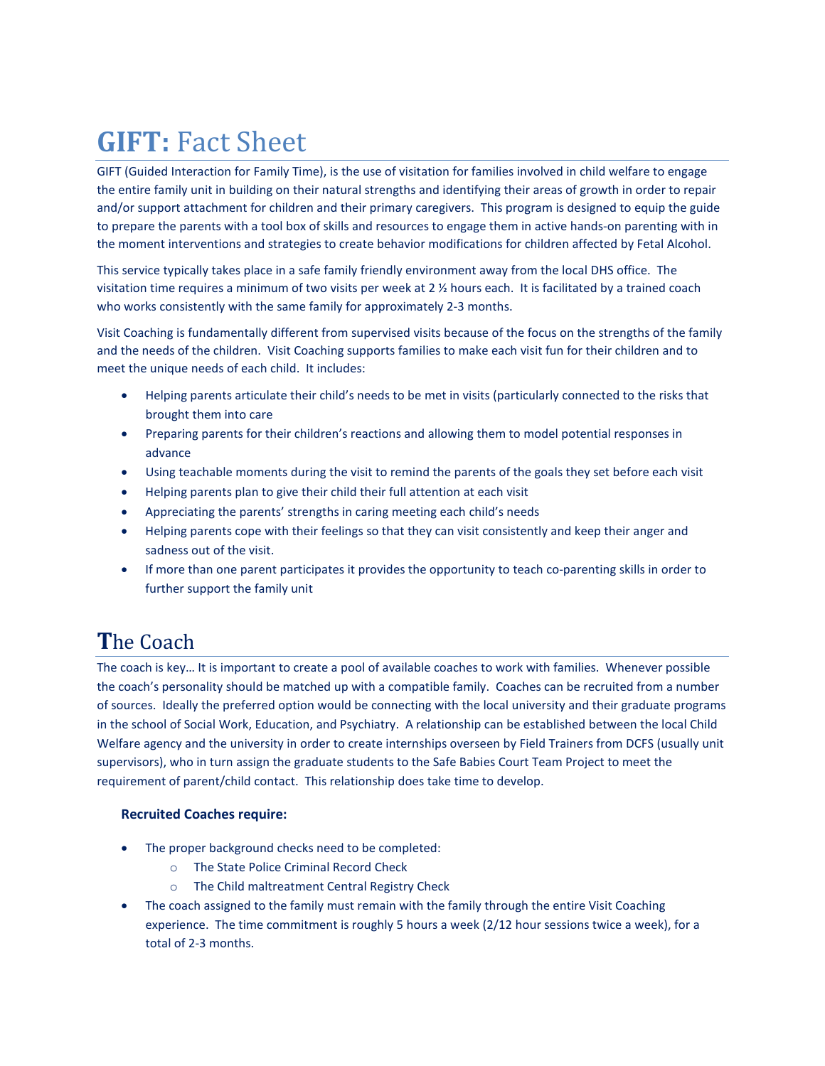# **GIFT:** Fact Sheet

GIFT (Guided Interaction for Family Time), is the use of visitation for families involved in child welfare to engage the entire family unit in building on their natural strengths and identifying their areas of growth in order to repair and/or support attachment for children and their primary caregivers. This program is designed to equip the guide to prepare the parents with a tool box of skills and resources to engage them in active hands-on parenting with in the moment interventions and strategies to create behavior modifications for children affected by Fetal Alcohol.

This service typically takes place in a safe family friendly environment away from the local DHS office. The visitation time requires a minimum of two visits per week at 2 ½ hours each. It is facilitated by a trained coach who works consistently with the same family for approximately 2-3 months.

Visit Coaching is fundamentally different from supervised visits because of the focus on the strengths of the family and the needs of the children. Visit Coaching supports families to make each visit fun for their children and to meet the unique needs of each child. It includes:

- Helping parents articulate their child's needs to be met in visits (particularly connected to the risks that brought them into care
- Preparing parents for their children's reactions and allowing them to model potential responses in advance
- Using teachable moments during the visit to remind the parents of the goals they set before each visit
- Helping parents plan to give their child their full attention at each visit
- Appreciating the parents' strengths in caring meeting each child's needs
- Helping parents cope with their feelings so that they can visit consistently and keep their anger and sadness out of the visit.
- If more than one parent participates it provides the opportunity to teach co-parenting skills in order to further support the family unit

## **T**he Coach

The coach is key… It is important to create a pool of available coaches to work with families. Whenever possible the coach's personality should be matched up with a compatible family. Coaches can be recruited from a number of sources. Ideally the preferred option would be connecting with the local university and their graduate programs in the school of Social Work, Education, and Psychiatry. A relationship can be established between the local Child Welfare agency and the university in order to create internships overseen by Field Trainers from DCFS (usually unit supervisors), who in turn assign the graduate students to the Safe Babies Court Team Project to meet the requirement of parent/child contact. This relationship does take time to develop.

### **Recruited Coaches require:**

- The proper background checks need to be completed:
	- o The State Police Criminal Record Check
	- o The Child maltreatment Central Registry Check
- The coach assigned to the family must remain with the family through the entire Visit Coaching experience. The time commitment is roughly 5 hours a week (2/12 hour sessions twice a week), for a total of 2-3 months.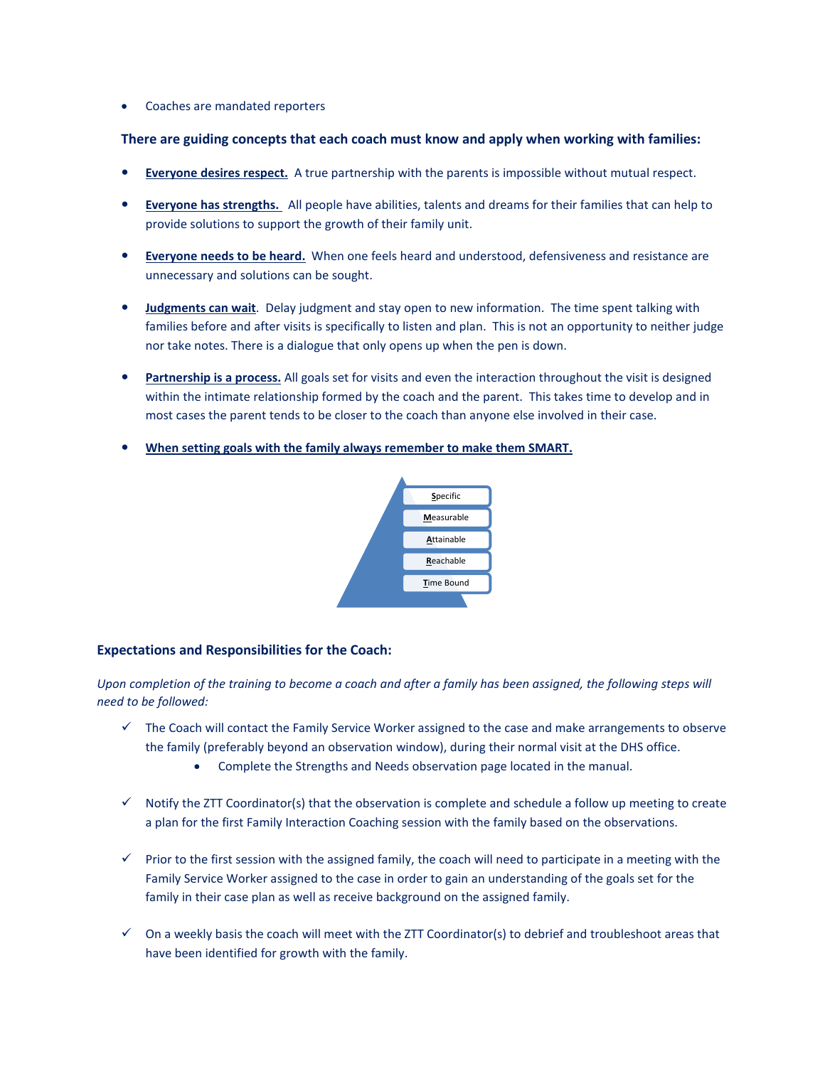• Coaches are mandated reporters

#### **There are guiding concepts that each coach must know and apply when working with families:**

- **Everyone desires respect.** A true partnership with the parents is impossible without mutual respect.
- **Everyone has strengths.** All people have abilities, talents and dreams for their families that can help to provide solutions to support the growth of their family unit.
- **Everyone needs to be heard.** When one feels heard and understood, defensiveness and resistance are unnecessary and solutions can be sought.
- **Judgments can wait**. Delay judgment and stay open to new information. The time spent talking with families before and after visits is specifically to listen and plan. This is not an opportunity to neither judge nor take notes. There is a dialogue that only opens up when the pen is down.
- **Partnership is a process.** All goals set for visits and even the interaction throughout the visit is designed within the intimate relationship formed by the coach and the parent. This takes time to develop and in most cases the parent tends to be closer to the coach than anyone else involved in their case.
- **When setting goals with the family always remember to make them SMART.**



#### **Expectations and Responsibilities for the Coach:**

*Upon completion of the training to become a coach and after a family has been assigned, the following steps will need to be followed:* 

- $\checkmark$  The Coach will contact the Family Service Worker assigned to the case and make arrangements to observe the family (preferably beyond an observation window), during their normal visit at the DHS office.
	- Complete the Strengths and Needs observation page located in the manual.
- $\checkmark$  Notify the ZTT Coordinator(s) that the observation is complete and schedule a follow up meeting to create a plan for the first Family Interaction Coaching session with the family based on the observations.
- $\checkmark$  Prior to the first session with the assigned family, the coach will need to participate in a meeting with the Family Service Worker assigned to the case in order to gain an understanding of the goals set for the family in their case plan as well as receive background on the assigned family.
- $\checkmark$  On a weekly basis the coach will meet with the ZTT Coordinator(s) to debrief and troubleshoot areas that have been identified for growth with the family.